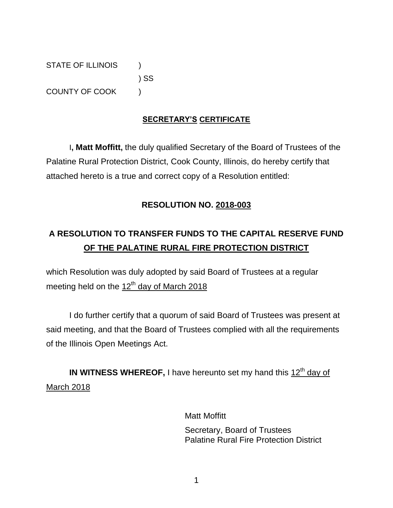STATE OF ILLINOIS (1) ) SS COUNTY OF COOK (

## **SECRETARY'S CERTIFICATE**

I**, Matt Moffitt,** the duly qualified Secretary of the Board of Trustees of the Palatine Rural Protection District, Cook County, Illinois, do hereby certify that attached hereto is a true and correct copy of a Resolution entitled:

### **RESOLUTION NO. 2018-003**

# **A RESOLUTION TO TRANSFER FUNDS TO THE CAPITAL RESERVE FUND OF THE PALATINE RURAL FIRE PROTECTION DISTRICT**

which Resolution was duly adopted by said Board of Trustees at a regular meeting held on the  $12<sup>th</sup>$  day of March 2018

I do further certify that a quorum of said Board of Trustees was present at said meeting, and that the Board of Trustees complied with all the requirements of the Illinois Open Meetings Act.

**IN WITNESS WHEREOF, I** have hereunto set my hand this 12<sup>th</sup> day of March 2018

> Matt Moffitt Secretary, Board of Trustees Palatine Rural Fire Protection District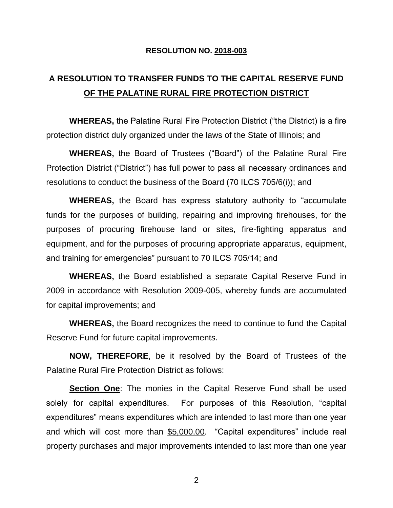#### **RESOLUTION NO. 2018-003**

## **A RESOLUTION TO TRANSFER FUNDS TO THE CAPITAL RESERVE FUND OF THE PALATINE RURAL FIRE PROTECTION DISTRICT**

**WHEREAS,** the Palatine Rural Fire Protection District ("the District) is a fire protection district duly organized under the laws of the State of Illinois; and

**WHEREAS,** the Board of Trustees ("Board") of the Palatine Rural Fire Protection District ("District") has full power to pass all necessary ordinances and resolutions to conduct the business of the Board (70 ILCS 705/6(i)); and

**WHEREAS,** the Board has express statutory authority to "accumulate funds for the purposes of building, repairing and improving firehouses, for the purposes of procuring firehouse land or sites, fire-fighting apparatus and equipment, and for the purposes of procuring appropriate apparatus, equipment, and training for emergencies" pursuant to 70 ILCS 705/14; and

**WHEREAS,** the Board established a separate Capital Reserve Fund in 2009 in accordance with Resolution 2009-005, whereby funds are accumulated for capital improvements; and

**WHEREAS,** the Board recognizes the need to continue to fund the Capital Reserve Fund for future capital improvements.

**NOW, THEREFORE**, be it resolved by the Board of Trustees of the Palatine Rural Fire Protection District as follows:

**Section One**: The monies in the Capital Reserve Fund shall be used solely for capital expenditures. For purposes of this Resolution, "capital expenditures" means expenditures which are intended to last more than one year and which will cost more than \$5,000.00. "Capital expenditures" include real property purchases and major improvements intended to last more than one year

2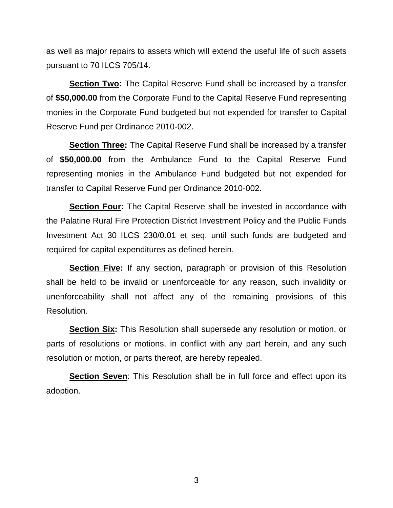as well as major repairs to assets which will extend the useful life of such assets pursuant to 70 ILCS 705/14.

**Section Two:** The Capital Reserve Fund shall be increased by a transfer of **\$50,000.00** from the Corporate Fund to the Capital Reserve Fund representing monies in the Corporate Fund budgeted but not expended for transfer to Capital Reserve Fund per Ordinance 2010-002.

**Section Three:** The Capital Reserve Fund shall be increased by a transfer of **\$50,000.00** from the Ambulance Fund to the Capital Reserve Fund representing monies in the Ambulance Fund budgeted but not expended for transfer to Capital Reserve Fund per Ordinance 2010-002.

**Section Four:** The Capital Reserve shall be invested in accordance with the Palatine Rural Fire Protection District Investment Policy and the Public Funds Investment Act 30 ILCS 230/0.01 et seq. until such funds are budgeted and required for capital expenditures as defined herein.

**Section Five:** If any section, paragraph or provision of this Resolution shall be held to be invalid or unenforceable for any reason, such invalidity or unenforceability shall not affect any of the remaining provisions of this Resolution.

**Section Six:** This Resolution shall supersede any resolution or motion, or parts of resolutions or motions, in conflict with any part herein, and any such resolution or motion, or parts thereof, are hereby repealed.

**Section Seven**: This Resolution shall be in full force and effect upon its adoption.

3